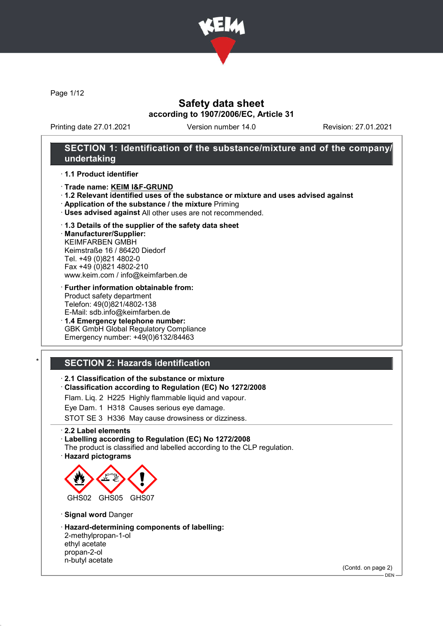

Page 1/12

### Safety data sheet according to 1907/2006/EC, Article 31

Printing date 27.01.2021 Version number 14.0 Revision: 27.01.2021

### SECTION 1: Identification of the substance/mixture and of the company/ undertaking

· 1.1 Product identifier

- · Trade name: KEIM I&F-GRUND
- · 1.2 Relevant identified uses of the substance or mixture and uses advised against
- · Application of the substance / the mixture Priming
- · Uses advised against All other uses are not recommended.

#### · 1.3 Details of the supplier of the safety data sheet

· Manufacturer/Supplier: KEIMFARBEN GMBH Keimstraße 16 / 86420 Diedorf Tel. +49 (0)821 4802-0 Fax +49 (0)821 4802-210 www.keim.com / info@keimfarben.de

- · Further information obtainable from: Product safety department Telefon: 49(0)821/4802-138 E-Mail: sdb.info@keimfarben.de
- · 1.4 Emergency telephone number: GBK GmbH Global Regulatory Compliance Emergency number: +49(0)6132/84463

## **SECTION 2: Hazards identification**

#### · 2.1 Classification of the substance or mixture

· Classification according to Regulation (EC) No 1272/2008

Flam. Liq. 2 H225 Highly flammable liquid and vapour.

Eye Dam. 1 H318 Causes serious eye damage.

STOT SE 3 H336 May cause drowsiness or dizziness.

· 2.2 Label elements

#### · Labelling according to Regulation (EC) No 1272/2008

The product is classified and labelled according to the CLP regulation. · Hazard pictograms



· Signal word Danger

· Hazard-determining components of labelling: 2-methylpropan-1-ol ethyl acetate propan-2-ol n-butyl acetate

(Contd. on page 2)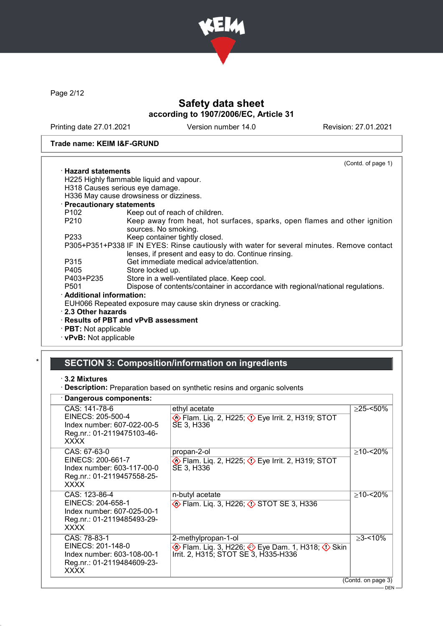

Page 2/12

## Safety data sheet according to 1907/2006/EC, Article 31

Printing date 27.01.2021 Version number 14.0 Revision: 27.01.2021

#### Trade name: KEIM I&F-GRUND

|                                 | (Contd. of page 1)                                                                                                                                 |
|---------------------------------|----------------------------------------------------------------------------------------------------------------------------------------------------|
| $\cdot$ Hazard statements       |                                                                                                                                                    |
|                                 | H225 Highly flammable liquid and vapour.                                                                                                           |
| H318 Causes serious eye damage. |                                                                                                                                                    |
|                                 | H336 May cause drowsiness or dizziness.                                                                                                            |
| · Precautionary statements      |                                                                                                                                                    |
| P102 and the P102               | Keep out of reach of children.                                                                                                                     |
| P210                            | Keep away from heat, hot surfaces, sparks, open flames and other ignition<br>sources. No smoking.                                                  |
| P233                            | Keep container tightly closed.                                                                                                                     |
|                                 | P305+P351+P338 IF IN EYES: Rinse cautiously with water for several minutes. Remove contact<br>lenses, if present and easy to do. Continue rinsing. |
| P315                            | Get immediate medical advice/attention.                                                                                                            |
| P405                            | Store locked up.                                                                                                                                   |
| P403+P235                       | Store in a well-ventilated place. Keep cool.                                                                                                       |
| P <sub>501</sub>                | Dispose of contents/container in accordance with regional/national regulations.                                                                    |
| $\cdot$ Additional information: |                                                                                                                                                    |
|                                 | EUH066 Repeated exposure may cause skin dryness or cracking.                                                                                       |
| 2.3 Other hazards               |                                                                                                                                                    |
|                                 | $\cdot$ Results of PBT and vPvB assessment                                                                                                         |
| · PBT: Not applicable           |                                                                                                                                                    |
|                                 |                                                                                                                                                    |

· vPvB: Not applicable

## SECTION 3: Composition/information on ingredients

· 3.2 Mixtures

 $\Gamma$ 

· Description: Preparation based on synthetic resins and organic solvents

### · Dangerous components:

| υαιιγοινασ συιτιροιισικο.                                                                                     |                                                                                                                    |                    |
|---------------------------------------------------------------------------------------------------------------|--------------------------------------------------------------------------------------------------------------------|--------------------|
| CAS: 141-78-6<br>EINECS: 205-500-4<br>Index number: 607-022-00-5<br>Reg.nr.: 01-2119475103-46-<br><b>XXXX</b> | ethyl acetate<br><b>Example 2, H225; 2&gt; Eye Irrit. 2, H319; STOT</b><br>SE 3, H336                              | $>25 - 50\%$       |
| CAS: 67-63-0<br>EINECS: 200-661-7<br>Index number: 603-117-00-0<br>Reg.nr.: 01-2119457558-25-<br><b>XXXX</b>  | propan-2-ol<br>$\diamondsuit$ Flam. Liq. 2, H225; $\diamondsuit$ Eye Irrit. 2, H319; STOT<br>SE 3, H336            | $\geq$ 10-<20%     |
| CAS: 123-86-4<br>EINECS: 204-658-1<br>Index number: 607-025-00-1<br>Reg.nr.: 01-2119485493-29-<br><b>XXXX</b> | n-butyl acetate<br><b> O</b> Flam. Lig. 3, H226; <b>OF STOT SE 3</b> , H336                                        | $\geq$ 10-<20%     |
| CAS: 78-83-1<br>EINECS: 201-148-0<br>Index number: 603-108-00-1<br>Reg.nr.: 01-2119484609-23-<br><b>XXXX</b>  | 2-methylpropan-1-ol<br>Eye Dam. 1, H318; ♦ Skin \$\, Flam. 1, H318; ♦ Skin<br>Irrit. 2, H315; STOT SE 3, H335-H336 | $>3 - 10\%$        |
|                                                                                                               |                                                                                                                    | (Contd. on page 3) |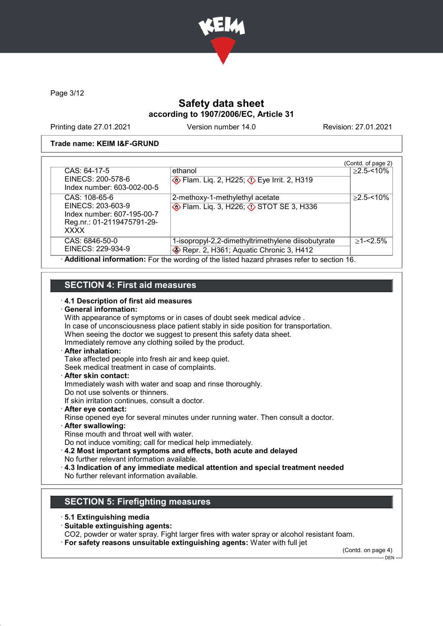

Page 3/12

### Safety data sheet according to 1907/2006/EC, Article 31

Printing date 27.01.2021 Version number 14.0 Revision: 27.01.2021

#### Trade name: KEIM I&F-GRUND

|                                                                                                               |                                                                                              | (Contd. of page 2) |
|---------------------------------------------------------------------------------------------------------------|----------------------------------------------------------------------------------------------|--------------------|
| CAS: 64-17-5<br>EINECS: 200-578-6<br>Index number: 603-002-00-5                                               | ethanol<br><b>Example 18 Flam.</b> Liq. 2, H225; $\Diamond$ Eye Irrit. 2, H319               | $>2.5 - 10\%$      |
| CAS: 108-65-6<br>EINECS: 203-603-9<br>Index number: 607-195-00-7<br>Reg.nr.: 01-2119475791-29-<br><b>XXXX</b> | 2-methoxy-1-methylethyl acetate<br><b>Example 13, H226; 4&gt; STOT SE 3, H336</b>            | $>2.5 - 10\%$      |
| CAS: 6846-50-0<br>EINECS: 229-934-9                                                                           | 1-isopropyl-2,2-dimethyltrimethylene diisobutyrate<br>Repr. 2, H361; Aquatic Chronic 3, H412 | $>1 - 2.5\%$       |
|                                                                                                               | Additional information: For the wording of the listed hazard phrases refer to section 16.    |                    |

## SECTION 4: First aid measures

#### · 4.1 Description of first aid measures

#### · General information:

With appearance of symptoms or in cases of doubt seek medical advice . In case of unconsciousness place patient stably in side position for transportation. When seeing the doctor we suggest to present this safety data sheet. Immediately remove any clothing soiled by the product. After inhalation: Take affected people into fresh air and keep quiet. Seek medical treatment in case of complaints. · After skin contact: Immediately wash with water and soap and rinse thoroughly. Do not use solvents or thinners. If skin irritation continues, consult a doctor. After eve contact: Rinse opened eye for several minutes under running water. Then consult a doctor. · After swallowing: Rinse mouth and throat well with water. Do not induce vomiting; call for medical help immediately. · 4.2 Most important symptoms and effects, both acute and delayed No further relevant information available. · 4.3 Indication of any immediate medical attention and special treatment needed No further relevant information available.

## SECTION 5: Firefighting measures

- · 5.1 Extinguishing media
- · Suitable extinguishing agents:
- CO2, powder or water spray. Fight larger fires with water spray or alcohol resistant foam.
- · For safety reasons unsuitable extinguishing agents: Water with full jet

(Contd. on page 4)

DEN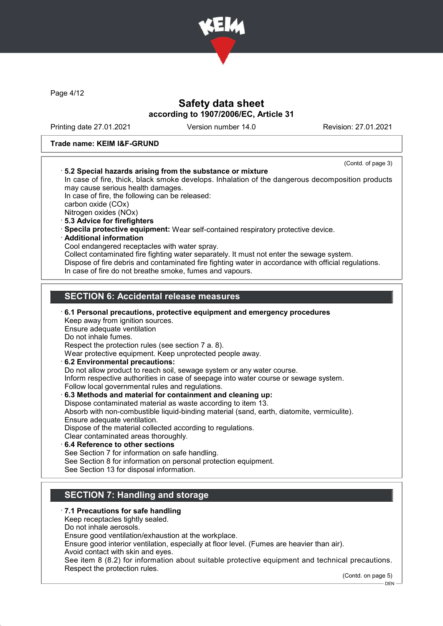

Page 4/12

### Safety data sheet according to 1907/2006/EC, Article 31

Printing date 27.01.2021 Version number 14.0 Revision: 27.01.2021

#### Trade name: KEIM I&F-GRUND

|                                                     | (Contd. of page 3)<br>5.2 Special hazards arising from the substance or mixture                                                                                  |
|-----------------------------------------------------|------------------------------------------------------------------------------------------------------------------------------------------------------------------|
|                                                     | In case of fire, thick, black smoke develops. Inhalation of the dangerous decomposition products                                                                 |
|                                                     | may cause serious health damages.                                                                                                                                |
| carbon oxide (COx)                                  | In case of fire, the following can be released:                                                                                                                  |
| Nitrogen oxides (NOx)                               |                                                                                                                                                                  |
| 5.3 Advice for firefighters                         |                                                                                                                                                                  |
|                                                     | · Specila protective equipment: Wear self-contained respiratory protective device.                                                                               |
| · Additional information                            |                                                                                                                                                                  |
|                                                     | Cool endangered receptacles with water spray.                                                                                                                    |
|                                                     | Collect contaminated fire fighting water separately. It must not enter the sewage system.                                                                        |
|                                                     | Dispose of fire debris and contaminated fire fighting water in accordance with official regulations.<br>In case of fire do not breathe smoke, fumes and vapours. |
|                                                     | <b>SECTION 6: Accidental release measures</b>                                                                                                                    |
|                                                     |                                                                                                                                                                  |
|                                                     |                                                                                                                                                                  |
|                                                     | 6.1 Personal precautions, protective equipment and emergency procedures                                                                                          |
| Keep away from ignition sources.                    |                                                                                                                                                                  |
| Ensure adequate ventilation<br>Do not inhale fumes. |                                                                                                                                                                  |
|                                                     | Respect the protection rules (see section 7 a. 8).                                                                                                               |
|                                                     | Wear protective equipment. Keep unprotected people away.                                                                                                         |
| 6.2 Environmental precautions:                      |                                                                                                                                                                  |
|                                                     | Do not allow product to reach soil, sewage system or any water course.                                                                                           |
|                                                     | Inform respective authorities in case of seepage into water course or sewage system.                                                                             |
|                                                     | Follow local governmental rules and regulations.                                                                                                                 |
|                                                     | 6.3 Methods and material for containment and cleaning up:                                                                                                        |
|                                                     | Dispose contaminated material as waste according to item 13.                                                                                                     |
| Ensure adequate ventilation.                        | Absorb with non-combustible liquid-binding material (sand, earth, diatomite, vermiculite).                                                                       |
|                                                     | Dispose of the material collected according to regulations.                                                                                                      |
|                                                     | Clear contaminated areas thoroughly.                                                                                                                             |
|                                                     |                                                                                                                                                                  |
| 6.4 Reference to other sections                     | See Section 7 for information on safe handling.                                                                                                                  |
|                                                     | See Section 8 for information on personal protection equipment.<br>See Section 13 for disposal information.                                                      |

### · 7.1 Precautions for safe handling

Keep receptacles tightly sealed.

Do not inhale aerosols.

Ensure good ventilation/exhaustion at the workplace.

Ensure good interior ventilation, especially at floor level. (Fumes are heavier than air).

Avoid contact with skin and eyes.

See item 8 (8.2) for information about suitable protective equipment and technical precautions. Respect the protection rules.

(Contd. on page 5)

 $-$  DEN $-$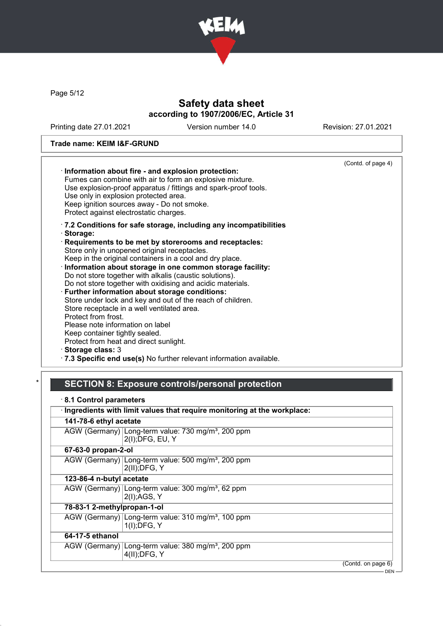

Page 5/12

## Safety data sheet according to 1907/2006/EC, Article 31

Printing date 27.01.2021 Version number 14.0 Revision: 27.01.2021

### Trade name: KEIM I&F-GRUND

| Information about fire - and explosion protection:<br>Fumes can combine with air to form an explosive mixture.<br>Use explosion-proof apparatus / fittings and spark-proof tools.<br>Use only in explosion protected area.<br>Keep ignition sources away - Do not smoke.<br>Protect against electrostatic charges.                                                                                                                                                                                                                                                                                                                                                                                                                                                                                                                               | (Contd. of page 4) |
|--------------------------------------------------------------------------------------------------------------------------------------------------------------------------------------------------------------------------------------------------------------------------------------------------------------------------------------------------------------------------------------------------------------------------------------------------------------------------------------------------------------------------------------------------------------------------------------------------------------------------------------------------------------------------------------------------------------------------------------------------------------------------------------------------------------------------------------------------|--------------------|
| .7.2 Conditions for safe storage, including any incompatibilities<br>· Storage:<br>Requirements to be met by storerooms and receptacles:<br>Store only in unopened original receptacles.<br>Keep in the original containers in a cool and dry place.<br>· Information about storage in one common storage facility:<br>Do not store together with alkalis (caustic solutions).<br>Do not store together with oxidising and acidic materials.<br>· Further information about storage conditions:<br>Store under lock and key and out of the reach of children.<br>Store receptacle in a well ventilated area.<br>Protect from frost.<br>Please note information on label<br>Keep container tightly sealed.<br>Protect from heat and direct sunlight.<br>· Storage class: 3<br>.7.3 Specific end use(s) No further relevant information available. |                    |

# SECTION 8: Exposure controls/personal protection

| 8.1 Control parameters      |                                                                                    |
|-----------------------------|------------------------------------------------------------------------------------|
|                             | · Ingredients with limit values that require monitoring at the workplace:          |
| 141-78-6 ethyl acetate      |                                                                                    |
|                             | AGW (Germany) Long-term value: 730 mg/m <sup>3</sup> , 200 ppm<br>2(I); DFG, EU, Y |
| 67-63-0 propan-2-ol         |                                                                                    |
|                             | AGW (Germany) Long-term value: 500 mg/m <sup>3</sup> , 200 ppm<br>$2(II);$ DFG, Y  |
| 123-86-4 n-butyl acetate    |                                                                                    |
|                             | AGW (Germany) Long-term value: 300 mg/m <sup>3</sup> , 62 ppm<br>2(I);AGS, Y       |
| 78-83-1 2-methylpropan-1-ol |                                                                                    |
|                             | AGW (Germany) Long-term value: 310 mg/m <sup>3</sup> , 100 ppm<br>$1(I);$ DFG, Y   |
| 64-17-5 ethanol             |                                                                                    |
|                             | AGW (Germany) Long-term value: 380 mg/m <sup>3</sup> , 200 ppm<br>4(II); DFG, Y    |
|                             | (Contd. on page 6)                                                                 |
|                             | <b>DEN</b>                                                                         |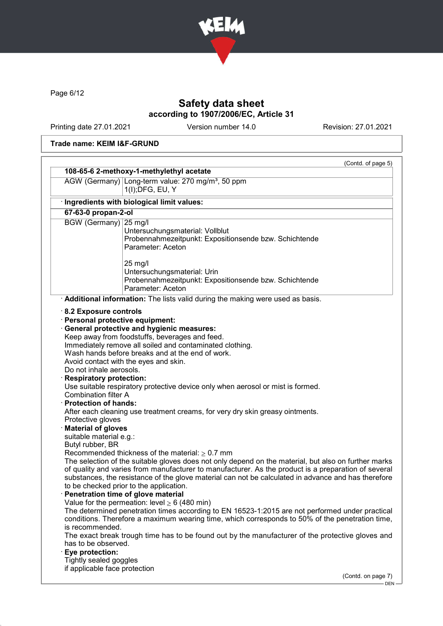

Page 6/12

## Safety data sheet according to 1907/2006/EC, Article 31

Printing date 27.01.2021 Version number 14.0 Revision: 27.01.2021

### Trade name: KEIM I&F-GRUND

|                                                                                                          | 108-65-6 2-methoxy-1-methylethyl acetate                                                                                                                                                                                                                                                                                                                                                                                                                                                                                                                                                                                                                                                                                                                                                                                    |
|----------------------------------------------------------------------------------------------------------|-----------------------------------------------------------------------------------------------------------------------------------------------------------------------------------------------------------------------------------------------------------------------------------------------------------------------------------------------------------------------------------------------------------------------------------------------------------------------------------------------------------------------------------------------------------------------------------------------------------------------------------------------------------------------------------------------------------------------------------------------------------------------------------------------------------------------------|
|                                                                                                          | AGW (Germany) Long-term value: 270 mg/m <sup>3</sup> , 50 ppm<br>1(I); DFG, EU, Y                                                                                                                                                                                                                                                                                                                                                                                                                                                                                                                                                                                                                                                                                                                                           |
|                                                                                                          |                                                                                                                                                                                                                                                                                                                                                                                                                                                                                                                                                                                                                                                                                                                                                                                                                             |
|                                                                                                          | Ingredients with biological limit values:                                                                                                                                                                                                                                                                                                                                                                                                                                                                                                                                                                                                                                                                                                                                                                                   |
| 67-63-0 propan-2-ol                                                                                      |                                                                                                                                                                                                                                                                                                                                                                                                                                                                                                                                                                                                                                                                                                                                                                                                                             |
| BGW (Germany) 25 mg/l                                                                                    | Untersuchungsmaterial: Vollblut<br>Probennahmezeitpunkt: Expositionsende bzw. Schichtende<br>Parameter: Aceton                                                                                                                                                                                                                                                                                                                                                                                                                                                                                                                                                                                                                                                                                                              |
|                                                                                                          | 25 mg/l<br>Untersuchungsmaterial: Urin<br>Probennahmezeitpunkt: Expositionsende bzw. Schichtende<br>Parameter: Aceton                                                                                                                                                                                                                                                                                                                                                                                                                                                                                                                                                                                                                                                                                                       |
|                                                                                                          | Additional information: The lists valid during the making were used as basis.                                                                                                                                                                                                                                                                                                                                                                                                                                                                                                                                                                                                                                                                                                                                               |
| Do not inhale aerosols.<br><b>Respiratory protection:</b><br><b>Combination filter A</b>                 | Keep away from foodstuffs, beverages and feed.<br>Immediately remove all soiled and contaminated clothing.<br>Wash hands before breaks and at the end of work.<br>Avoid contact with the eyes and skin.<br>Use suitable respiratory protective device only when aerosol or mist is formed.                                                                                                                                                                                                                                                                                                                                                                                                                                                                                                                                  |
| <b>Protection of hands:</b><br>Protective gloves<br><b>Material of gloves</b><br>suitable material e.g.: | After each cleaning use treatment creams, for very dry skin greasy ointments.                                                                                                                                                                                                                                                                                                                                                                                                                                                                                                                                                                                                                                                                                                                                               |
| Butyl rubber, BR<br>is recommended.<br>has to be observed.<br>Eye protection:                            | Recommended thickness of the material: $\geq 0.7$ mm<br>The selection of the suitable gloves does not only depend on the material, but also on further marks<br>of quality and varies from manufacturer to manufacturer. As the product is a preparation of several<br>substances, the resistance of the glove material can not be calculated in advance and has therefore<br>to be checked prior to the application.<br>Penetration time of glove material<br>Value for the permeation: level $\geq 6$ (480 min)<br>The determined penetration times according to EN 16523-1:2015 are not performed under practical<br>conditions. Therefore a maximum wearing time, which corresponds to 50% of the penetration time,<br>The exact break trough time has to be found out by the manufacturer of the protective gloves and |
| Tightly sealed goggles<br>if applicable face protection                                                  |                                                                                                                                                                                                                                                                                                                                                                                                                                                                                                                                                                                                                                                                                                                                                                                                                             |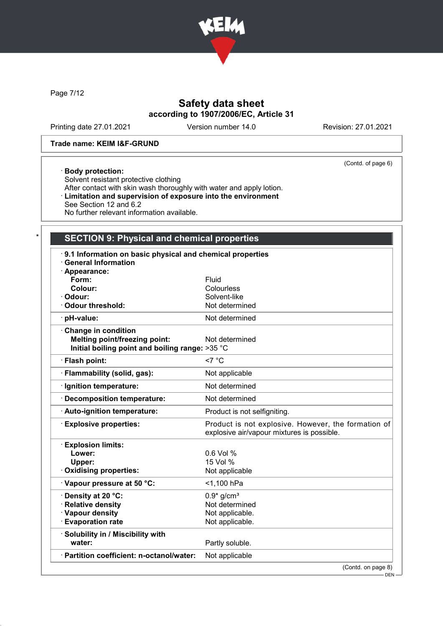

Page 7/12

## Safety data sheet according to 1907/2006/EC, Article 31

Printing date 27.01.2021 Version number 14.0 Revision: 27.01.2021

(Contd. of page 6)

#### Trade name: KEIM I&F-GRUND

## · Body protection:

Solvent resistant protective clothing After contact with skin wash thoroughly with water and apply lotion. · Limitation and supervision of exposure into the environment See Section 12 and 6.2 No further relevant information available.

## SECTION 9: Physical and chemical properties

| 9.1 Information on basic physical and chemical properties<br><b>General Information</b><br>Appearance: |                                                                                                   |
|--------------------------------------------------------------------------------------------------------|---------------------------------------------------------------------------------------------------|
| Form:                                                                                                  | Fluid                                                                                             |
| Colour:                                                                                                | Colourless                                                                                        |
| · Odour:                                                                                               | Solvent-like                                                                                      |
| Odour threshold:                                                                                       | Not determined                                                                                    |
| · pH-value:                                                                                            | Not determined                                                                                    |
| Change in condition                                                                                    |                                                                                                   |
| <b>Melting point/freezing point:</b>                                                                   | Not determined                                                                                    |
| Initial boiling point and boiling range: >35 °C                                                        |                                                                                                   |
| · Flash point:                                                                                         | $<7^{\circ}$ C                                                                                    |
| · Flammability (solid, gas):                                                                           | Not applicable                                                                                    |
| · Ignition temperature:                                                                                | Not determined                                                                                    |
| Decomposition temperature:                                                                             | Not determined                                                                                    |
| · Auto-ignition temperature:                                                                           | Product is not selfigniting.                                                                      |
| <b>Explosive properties:</b>                                                                           | Product is not explosive. However, the formation of<br>explosive air/vapour mixtures is possible. |
| <b>Explosion limits:</b>                                                                               |                                                                                                   |
| Lower:                                                                                                 | 0.6 Vol %                                                                                         |
| Upper:                                                                                                 | 15 Vol %                                                                                          |
| <b>Oxidising properties:</b>                                                                           | Not applicable                                                                                    |
| Vapour pressure at 50 °C:                                                                              | <1,100 hPa                                                                                        |
| · Density at 20 °C:                                                                                    | $0.9*$ g/cm <sup>3</sup>                                                                          |
| · Relative density                                                                                     | Not determined                                                                                    |
| · Vapour density                                                                                       | Not applicable.                                                                                   |
| <b>Evaporation rate</b>                                                                                | Not applicable.                                                                                   |
| · Solubility in / Miscibility with                                                                     |                                                                                                   |
| water:                                                                                                 | Partly soluble.                                                                                   |
| · Partition coefficient: n-octanol/water:                                                              | Not applicable                                                                                    |
|                                                                                                        | (Contd. on page 8)                                                                                |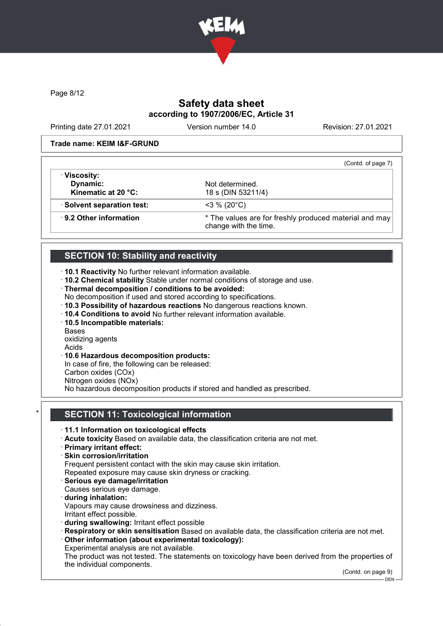

Page 8/12

## Safety data sheet according to 1907/2006/EC, Article 31

Printing date 27.01.2021 Version number 14.0 Revision: 27.01.2021

#### Trade name: KEIM I&F-GRUND

|                               | (Contd. of page 7)                                                              |
|-------------------------------|---------------------------------------------------------------------------------|
| · Viscosity:                  |                                                                                 |
| Dynamic:                      | Not determined.                                                                 |
| Kinematic at 20 °C:           | 18 s (DIN 53211/4)                                                              |
| · Solvent separation test:    | $<$ 3 % (20 $^{\circ}$ C)                                                       |
| $\cdot$ 9.2 Other information | * The values are for freshly produced material and may<br>change with the time. |

### SECTION 10: Stability and reactivity

- · 10.1 Reactivity No further relevant information available.
- · 10.2 Chemical stability Stable under normal conditions of storage and use.
- · Thermal decomposition / conditions to be avoided:
- No decomposition if used and stored according to specifications.
- · 10.3 Possibility of hazardous reactions No dangerous reactions known.
- · 10.4 Conditions to avoid No further relevant information available.
- · 10.5 Incompatible materials:
- Bases

oxidizing agents

- Acids
- · 10.6 Hazardous decomposition products:
- In case of fire, the following can be released:
- Carbon oxides (COx)
- Nitrogen oxides (NOx)

No hazardous decomposition products if stored and handled as prescribed.

### **SECTION 11: Toxicological information**

- · 11.1 Information on toxicological effects
- · Acute toxicity Based on available data, the classification criteria are not met.
- · Primary irritant effect:
- · Skin corrosion/irritation

Frequent persistent contact with the skin may cause skin irritation.

Repeated exposure may cause skin dryness or cracking.

- · Serious eye damage/irritation
- Causes serious eye damage. · during inhalation:
- Vapours may cause drowsiness and dizziness. Irritant effect possible.
- · during swallowing: Irritant effect possible

· Respiratory or skin sensitisation Based on available data, the classification criteria are not met.

- · Other information (about experimental toxicology):
- Experimental analysis are not available.

The product was not tested. The statements on toxicology have been derived from the properties of the individual components.

(Contd. on page 9)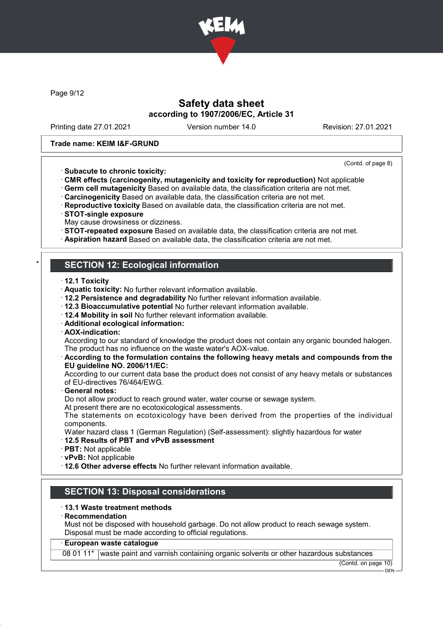

Page 9/12

### Safety data sheet according to 1907/2006/EC, Article 31

Printing date 27.01.2021 Version number 14.0 Revision: 27.01.2021

(Contd. of page 8)

#### Trade name: KEIM I&F-GRUND

- · Subacute to chronic toxicity: · CMR effects (carcinogenity, mutagenicity and toxicity for reproduction) Not applicable
- · Germ cell mutagenicity Based on available data, the classification criteria are not met.
- · Carcinogenicity Based on available data, the classification criteria are not met.
- · Reproductive toxicity Based on available data, the classification criteria are not met.
- · STOT-single exposure
- May cause drowsiness or dizziness.
- · STOT-repeated exposure Based on available data, the classification criteria are not met.
- · Aspiration hazard Based on available data, the classification criteria are not met.

### **SECTION 12: Ecological information**

- · 12.1 Toxicity
- · Aquatic toxicity: No further relevant information available.
- · 12.2 Persistence and degradability No further relevant information available.
- · 12.3 Bioaccumulative potential No further relevant information available.
- · 12.4 Mobility in soil No further relevant information available.
- · Additional ecological information:
- · AOX-indication:

According to our standard of knowledge the product does not contain any organic bounded halogen. The product has no influence on the waste water's AOX-value.

#### · According to the formulation contains the following heavy metals and compounds from the EU guideline NO. 2006/11/EC:

According to our current data base the product does not consist of any heavy metals or substances of EU-directives 76/464/EWG.

General notes:

Do not allow product to reach ground water, water course or sewage system.

At present there are no ecotoxicological assessments.

The statements on ecotoxicology have been derived from the properties of the individual components.

- Water hazard class 1 (German Regulation) (Self-assessment): slightly hazardous for water
- · 12.5 Results of PBT and vPvB assessment
- · PBT: Not applicable
- · vPvB: Not applicable
- · 12.6 Other adverse effects No further relevant information available.

### SECTION 13: Disposal considerations

#### · 13.1 Waste treatment methods

· Recommendation

Must not be disposed with household garbage. Do not allow product to reach sewage system. Disposal must be made according to official regulations.

#### · European waste catalogue

08 01 11\* waste paint and varnish containing organic solvents or other hazardous substances

(Contd. on page 10) **DEN**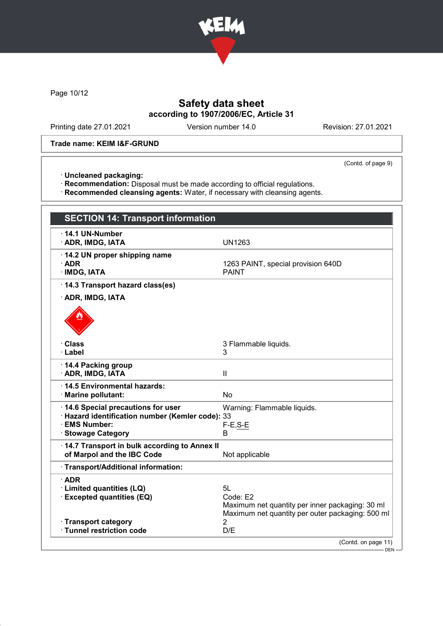

Page 10/12

## Safety data sheet according to 1907/2006/EC, Article 31

Printing date 27.01.2021 Version number 14.0 Revision: 27.01.2021

#### Trade name: KEIM I&F-GRUND

(Contd. of page 9)

· Uncleaned packaging:

· Recommendation: Disposal must be made according to official regulations.

· Recommended cleansing agents: Water, if necessary with cleansing agents.

| <b>SECTION 14: Transport information</b>                          |                                                                                                                 |
|-------------------------------------------------------------------|-----------------------------------------------------------------------------------------------------------------|
| $\cdot$ 14.1 UN-Number<br>· ADR, IMDG, IATA                       | <b>UN1263</b>                                                                                                   |
| 14.2 UN proper shipping name<br>$\cdot$ ADR<br>· IMDG, IATA       | 1263 PAINT, special provision 640D<br><b>PAINT</b>                                                              |
| 14.3 Transport hazard class(es)                                   |                                                                                                                 |
| · ADR, IMDG, IATA                                                 |                                                                                                                 |
|                                                                   |                                                                                                                 |
| · Class                                                           | 3 Flammable liquids.                                                                                            |
| · Label                                                           | 3                                                                                                               |
| 14.4 Packing group<br>· ADR, IMDG, IATA                           | Ш                                                                                                               |
| · 14.5 Environmental hazards:<br>· Marine pollutant:              | <b>No</b>                                                                                                       |
| 14.6 Special precautions for user                                 | Warning: Flammable liquids.                                                                                     |
| · Hazard identification number (Kemler code): 33<br>· EMS Number: |                                                                                                                 |
| · Stowage Category                                                | $F-E, S-E$<br>B                                                                                                 |
| 14.7 Transport in bulk according to Annex II                      |                                                                                                                 |
| of Marpol and the IBC Code                                        | Not applicable                                                                                                  |
| · Transport/Additional information:                               |                                                                                                                 |
| $\cdot$ ADR                                                       |                                                                                                                 |
| · Limited quantities (LQ)                                         | 5L                                                                                                              |
| <b>Excepted quantities (EQ)</b>                                   | Code: E2<br>Maximum net quantity per inner packaging: 30 ml<br>Maximum net quantity per outer packaging: 500 ml |
| · Transport category                                              | $\overline{2}$                                                                                                  |
| · Tunnel restriction code                                         | D/E                                                                                                             |
|                                                                   | (Contd. on page 11)                                                                                             |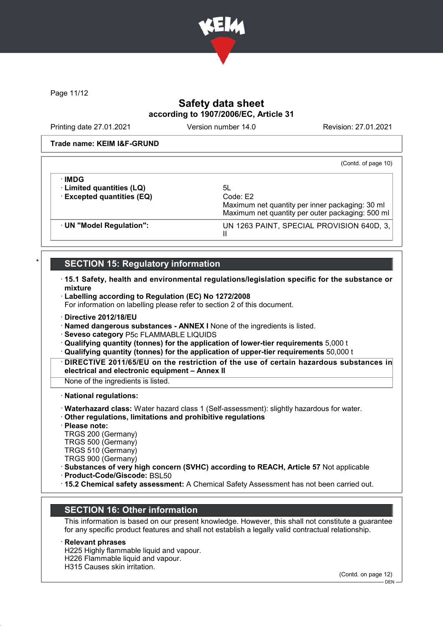

Page 11/12

## Safety data sheet according to 1907/2006/EC, Article 31

Printing date 27.01.2021 Version number 14.0 Revision: 27.01.2021

#### Trade name: KEIM I&F-GRUND

(Contd. of page 10)

| · UN "Model Regulation":                                         | Maximum net quantity per inner packaging: 30 ml<br>Maximum net quantity per outer packaging: 500 ml<br>UN 1263 PAINT, SPECIAL PROVISION 640D, 3,<br>Ш |
|------------------------------------------------------------------|-------------------------------------------------------------------------------------------------------------------------------------------------------|
| ∙IMDG<br>· Limited quantities (LQ)<br>· Excepted quantities (EQ) | 5L<br>Code: E2                                                                                                                                        |

### **SECTION 15: Regulatory information**

- · 15.1 Safety, health and environmental regulations/legislation specific for the substance or mixture
- · Labelling according to Regulation (EC) No 1272/2008

For information on labelling please refer to section 2 of this document.

- · Directive 2012/18/EU
- · Named dangerous substances ANNEX I None of the ingredients is listed.
- · Seveso category P5c FLAMMABLE LIQUIDS
- · Qualifying quantity (tonnes) for the application of lower-tier requirements 5,000 t
- · Qualifying quantity (tonnes) for the application of upper-tier requirements 50,000 t
- · DIRECTIVE 2011/65/EU on the restriction of the use of certain hazardous substances in electrical and electronic equipment – Annex II

None of the ingredients is listed.

· National regulations:

- · Waterhazard class: Water hazard class 1 (Self-assessment): slightly hazardous for water.
- · Other regulations, limitations and prohibitive regulations

· Please note:

TRGS 200 (Germany)

TRGS 500 (Germany)

TRGS 510 (Germany)

TRGS 900 (Germany)

· Substances of very high concern (SVHC) according to REACH, Article 57 Not applicable

· Product-Code/Giscode: BSL50

· 15.2 Chemical safety assessment: A Chemical Safety Assessment has not been carried out.

## SECTION 16: Other information

This information is based on our present knowledge. However, this shall not constitute a guarantee for any specific product features and shall not establish a legally valid contractual relationship.

#### **Relevant phrases**

H225 Highly flammable liquid and vapour.

- H226 Flammable liquid and vapour.
- H315 Causes skin irritation.

(Contd. on page 12)